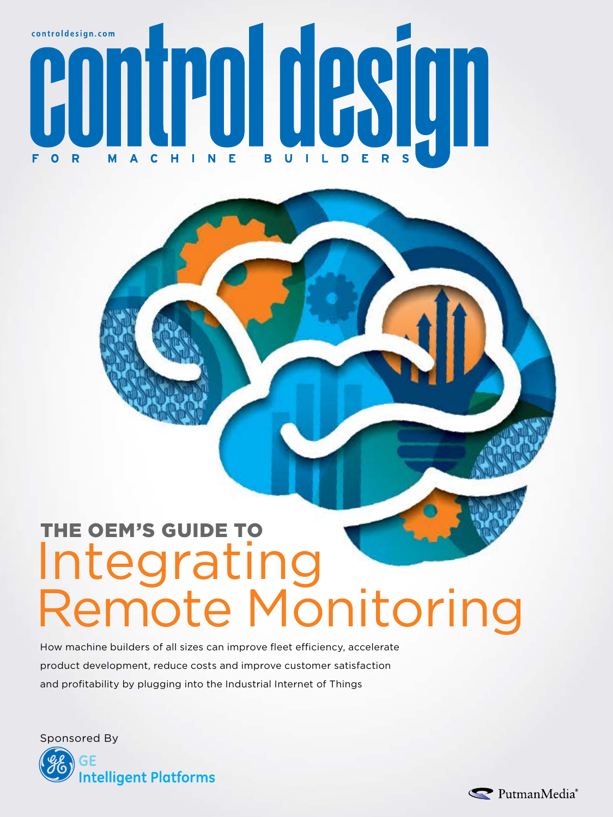

## THE OEM'S GUIDE TO Integrating Remote Monitoring

How machine builders of all sizes can improve fleet efficiency, accelerate product development, reduce costs and improve customer satisfaction and profitability by plugging into the Industrial Internet of Things

Sponsored By



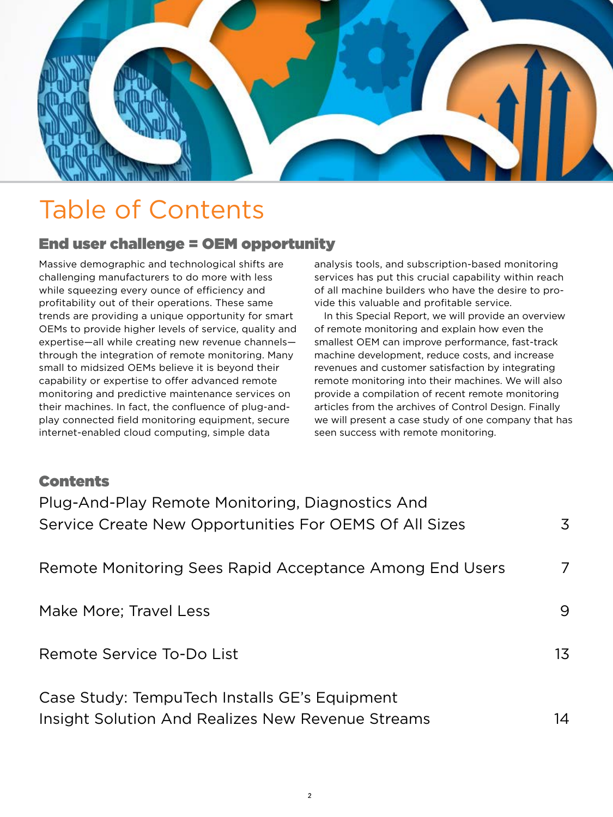

## Table of Contents

#### End user challenge = OEM opportunity

Massive demographic and technological shifts are challenging manufacturers to do more with less while squeezing every ounce of efficiency and profitability out of their operations. These same trends are providing a unique opportunity for smart OEMs to provide higher levels of service, quality and expertise—all while creating new revenue channels through the integration of remote monitoring. Many small to midsized OEMs believe it is beyond their capability or expertise to offer advanced remote monitoring and predictive maintenance services on their machines. In fact, the confluence of plug-andplay connected field monitoring equipment, secure internet-enabled cloud computing, simple data

analysis tools, and subscription-based monitoring services has put this crucial capability within reach of all machine builders who have the desire to provide this valuable and profitable service.

In this Special Report, we will provide an overview of remote monitoring and explain how even the smallest OEM can improve performance, fast-track machine development, reduce costs, and increase revenues and customer satisfaction by integrating remote monitoring into their machines. We will also provide a compilation of recent remote monitoring articles from the archives of Control Design. Finally we will present a case study of one company that has seen success with remote monitoring.

#### Contents

| Plug-And-Play Remote Monitoring, Diagnostics And<br>Service Create New Opportunities For OEMS Of All Sizes | 3  |
|------------------------------------------------------------------------------------------------------------|----|
| Remote Monitoring Sees Rapid Acceptance Among End Users                                                    | 7  |
| Make More; Travel Less                                                                                     | 9  |
| Remote Service To-Do List                                                                                  | 13 |
| Case Study: TempuTech Installs GE's Equipment<br>Insight Solution And Realizes New Revenue Streams         | 14 |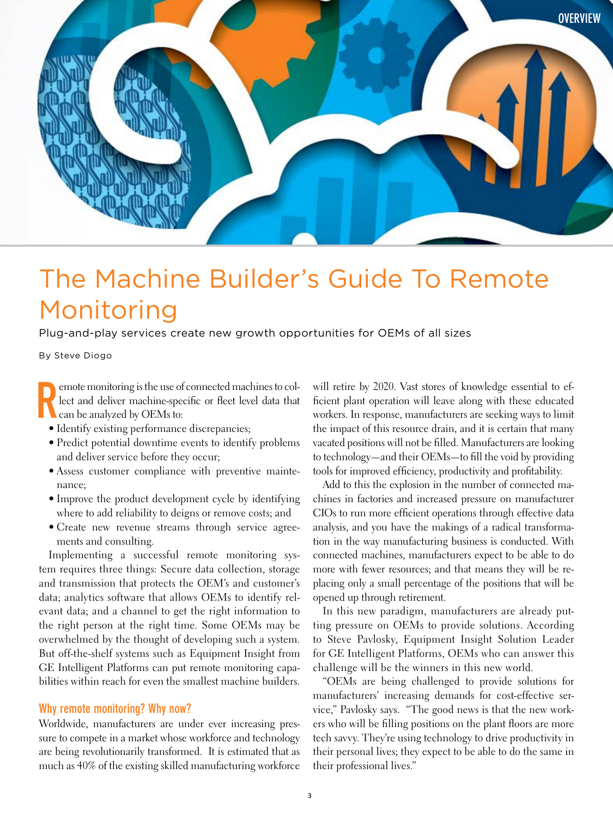<span id="page-2-0"></span>

## The Machine Builder's Guide To Remote Monitoring

Plug-and-play services create new growth opportunities for OEMs of all sizes

By Steve Diogo

R emote monitoring is the use of connected machines to collect and deliver machine-specifc or feet level data that can be analyzed by OEMs to:

- Identify existing performance discrepancies;
- Predict potential downtime events to identify problems and deliver service before they occur;
- Assess customer compliance with preventive maintenance;
- Improve the product development cycle by identifying where to add reliability to deigns or remove costs; and
- Create new revenue streams through service agreements and consulting.

Implementing a successful remote monitoring system requires three things: Secure data collection, storage and transmission that protects the OEM's and customer's data; analytics software that allows OEMs to identify relevant data; and a channel to get the right information to the right person at the right time. Some OEMs may be overwhelmed by the thought of developing such a system. But off-the-shelf systems such as Equipment Insight from GE Intelligent Platforms can put remote monitoring capabilities within reach for even the smallest machine builders.

#### Why remote monitoring? Why now?

Worldwide, manufacturers are under ever increasing pressure to compete in a market whose workforce and technology are being revolutionarily transformed. It is estimated that as much as 40% of the existing skilled manufacturing workforce will retire by 2020. Vast stores of knowledge essential to effcient plant operation will leave along with these educated workers. In response, manufacturers are seeking ways to limit the impact of this resource drain, and it is certain that many vacated positions will not be flled. Manufacturers are looking to technology—and their OEMs—to fll the void by providing tools for improved efficiency, productivity and profitability.

Add to this the explosion in the number of connected machines in factories and increased pressure on manufacturer CIOs to run more efficient operations through effective data analysis, and you have the makings of a radical transformation in the way manufacturing business is conducted. With connected machines, manufacturers expect to be able to do more with fewer resources; and that means they will be replacing only a small percentage of the positions that will be opened up through retirement.

In this new paradigm, manufacturers are already putting pressure on OEMs to provide solutions. According to Steve Pavlosky, Equipment Insight Solution Leader for GE Intelligent Platforms, OEMs who can answer this challenge will be the winners in this new world.

"OEMs are being challenged to provide solutions for manufacturers' increasing demands for cost-effective service," Pavlosky says. "The good news is that the new workers who will be flling positions on the plant foors are more tech savvy. They're using technology to drive productivity in their personal lives; they expect to be able to do the same in their professional lives."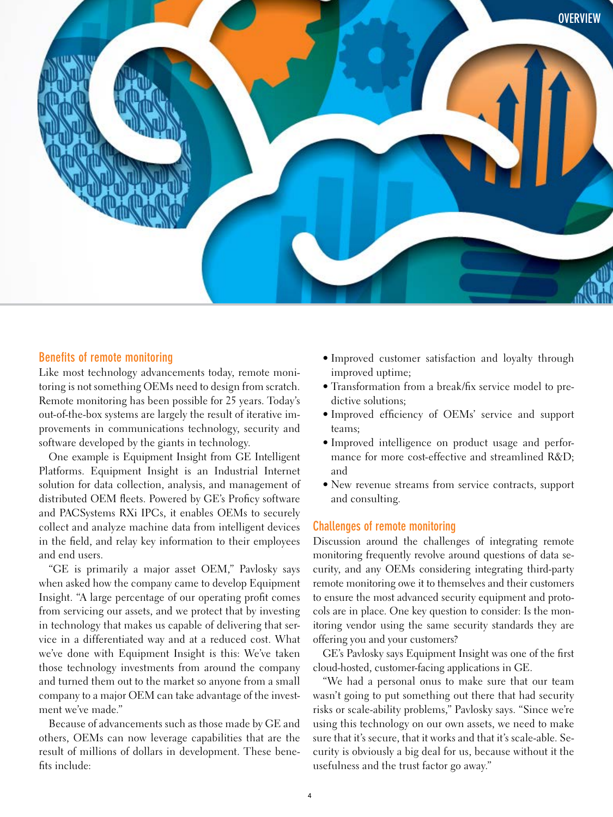

#### Benefits of remote monitoring

Like most technology advancements today, remote monitoring is not something OEMs need to design from scratch. Remote monitoring has been possible for 25 years. Today's out-of-the-box systems are largely the result of iterative improvements in communications technology, security and software developed by the giants in technology.

One example is Equipment Insight from GE Intelligent Platforms. Equipment Insight is an Industrial Internet solution for data collection, analysis, and management of distributed OEM fleets. Powered by GE's Proficy software and PACSystems RXi IPCs, it enables OEMs to securely collect and analyze machine data from intelligent devices in the feld, and relay key information to their employees and end users.

"GE is primarily a major asset OEM," Pavlosky says when asked how the company came to develop Equipment Insight. "A large percentage of our operating proft comes from servicing our assets, and we protect that by investing in technology that makes us capable of delivering that service in a differentiated way and at a reduced cost. What we've done with Equipment Insight is this: We've taken those technology investments from around the company and turned them out to the market so anyone from a small company to a major OEM can take advantage of the investment we've made."

Because of advancements such as those made by GE and others, OEMs can now leverage capabilities that are the result of millions of dollars in development. These benefts include:

- Improved customer satisfaction and loyalty through improved uptime;
- Transformation from a break/fx service model to predictive solutions;
- Improved effciency of OEMs' service and support teams;
- Improved intelligence on product usage and performance for more cost-effective and streamlined R&D; and
- New revenue streams from service contracts, support and consulting.

#### Challenges of remote monitoring

Discussion around the challenges of integrating remote monitoring frequently revolve around questions of data security, and any OEMs considering integrating third-party remote monitoring owe it to themselves and their customers to ensure the most advanced security equipment and protocols are in place. One key question to consider: Is the monitoring vendor using the same security standards they are offering you and your customers?

GE's Pavlosky says Equipment Insight was one of the frst cloud-hosted, customer-facing applications in GE.

"We had a personal onus to make sure that our team wasn't going to put something out there that had security risks or scale-ability problems," Pavlosky says. "Since we're using this technology on our own assets, we need to make sure that it's secure, that it works and that it's scale-able. Security is obviously a big deal for us, because without it the usefulness and the trust factor go away."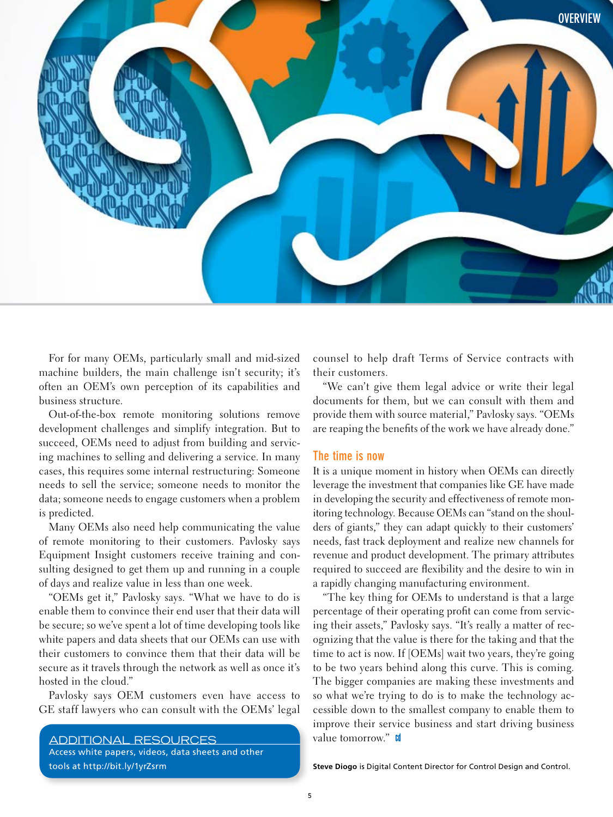

For for many OEMs, particularly small and mid-sized machine builders, the main challenge isn't security; it's often an OEM's own perception of its capabilities and business structure.

Out-of-the-box remote monitoring solutions remove development challenges and simplify integration. But to succeed, OEMs need to adjust from building and servicing machines to selling and delivering a service. In many cases, this requires some internal restructuring: Someone needs to sell the service; someone needs to monitor the data; someone needs to engage customers when a problem is predicted.

Many OEMs also need help communicating the value of remote monitoring to their customers. Pavlosky says Equipment Insight customers receive training and consulting designed to get them up and running in a couple of days and realize value in less than one week.

"OEMs get it," Pavlosky says. "What we have to do is enable them to convince their end user that their data will be secure; so we've spent a lot of time developing tools like white papers and data sheets that our OEMs can use with their customers to convince them that their data will be secure as it travels through the network as well as once it's hosted in the cloud."

Pavlosky says OEM customers even have access to GE staff lawyers who can consult with the OEMs' legal

**ADDITIONAL RESOURCES** Access white papers, videos, data sheets and other tools at http://bit.ly/1yrZsrm

counsel to help draft Terms of Service contracts with their customers.

"We can't give them legal advice or write their legal documents for them, but we can consult with them and provide them with source material," Pavlosky says. "OEMs are reaping the benefits of the work we have already done."

#### The time is now

It is a unique moment in history when OEMs can directly leverage the investment that companies like GE have made in developing the security and effectiveness of remote monitoring technology. Because OEMs can "stand on the shoulders of giants," they can adapt quickly to their customers' needs, fast track deployment and realize new channels for revenue and product development. The primary attributes required to succeed are flexibility and the desire to win in a rapidly changing manufacturing environment.

"The key thing for OEMs to understand is that a large percentage of their operating profit can come from servicing their assets," Pavlosky says. "It's really a matter of recognizing that the value is there for the taking and that the time to act is now. If [OEMs] wait two years, they're going to be two years behind along this curve. This is coming. The bigger companies are making these investments and so what we're trying to do is to make the technology accessible down to the smallest company to enable them to improve their service business and start driving business value tomorrow." co

Steve Diogo is Digital Content Director for Control Design and Control.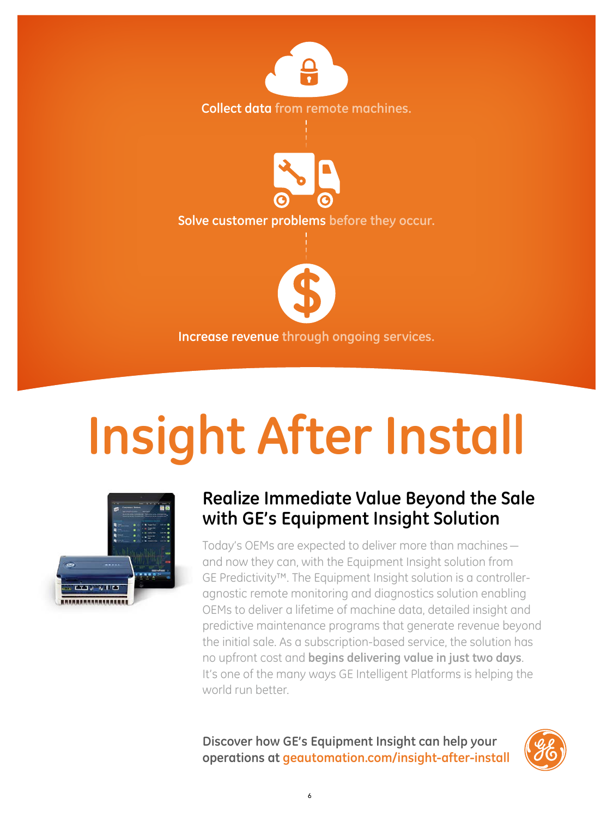

# **Insight After Install**



### Realize Immediate Value Beyond the Sale with GE's Equipment Insight Solution

Today's OEMs are expected to deliver more than machines and now they can, with the Equipment Insight solution from GE Predictivity<sup>™</sup>. The Equipment Insight solution is a controlleragnostic remote monitoring and diagnostics solution enabling OEMs to deliver a lifetime of machine data, detailed insight and predictive maintenance programs that generate revenue beyond the initial sale. As a subscription-based service, the solution has no upfront cost and begins delivering value in just two days. It's one of the many ways GE Intelligent Platforms is helping the world run better.

Discover how GE's Equipment Insight can help your operations at geautomation.com/insight-after-install

6

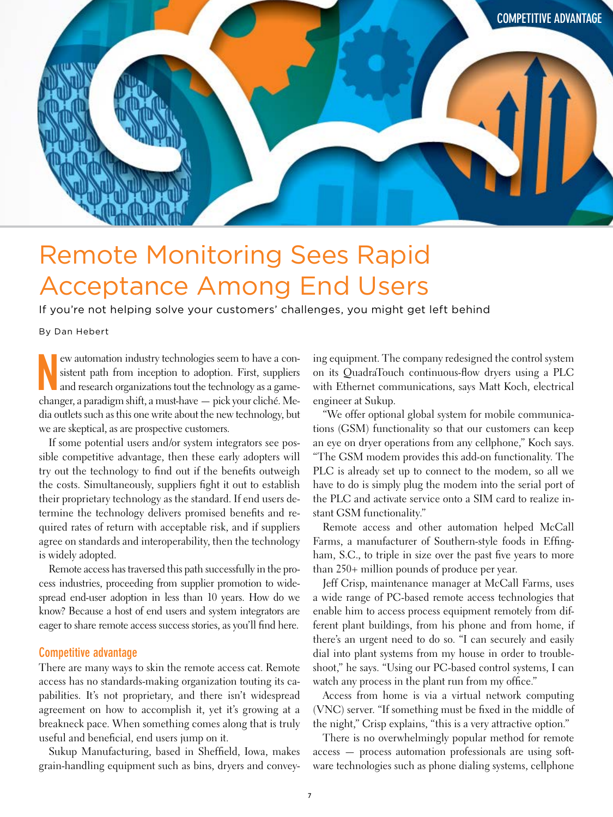<span id="page-6-0"></span>

## Remote Monitoring Sees Rapid Acceptance Among End Users

If you're not helping solve your customers' challenges, you might get left behind

By Dan Hebert

ew automation industry technologies seem to have a consistent path from inception to adoption. First, suppliers and research organizations tout the technology as a game-<br>changer, a paradigm shift, a must-have — pick your c ew automation industry technologies seem to have a consistent path from inception to adoption. First, suppliers and research organizations tout the technology as a gamedia outlets such as this one write about the new technology, but we are skeptical, as are prospective customers.

If some potential users and/or system integrators see possible competitive advantage, then these early adopters will try out the technology to fnd out if the benefts outweigh the costs. Simultaneously, suppliers fght it out to establish their proprietary technology as the standard. If end users determine the technology delivers promised benefts and required rates of return with acceptable risk, and if suppliers agree on standards and interoperability, then the technology is widely adopted.

Remote access has traversed this path successfully in the process industries, proceeding from supplier promotion to widespread end-user adoption in less than 10 years. How do we know? Because a host of end users and system integrators are eager to share remote access success stories, as you'll fnd here.

#### Competitive advantage

There are many ways to skin the remote access cat. Remote access has no standards-making organization touting its capabilities. It's not proprietary, and there isn't widespread agreement on how to accomplish it, yet it's growing at a breakneck pace. When something comes along that is truly useful and benefcial, end users jump on it.

Sukup Manufacturing, based in Sheffeld, Iowa, makes grain-handling equipment such as bins, dryers and conveying equipment. The company redesigned the control system on its QuadraTouch continuous-fow dryers using a PLC with Ethernet communications, says Matt Koch, electrical engineer at Sukup.

"We offer optional global system for mobile communications (GSM) functionality so that our customers can keep an eye on dryer operations from any cellphone," Koch says. "The GSM modem provides this add-on functionality. The PLC is already set up to connect to the modem, so all we have to do is simply plug the modem into the serial port of the PLC and activate service onto a SIM card to realize instant GSM functionality."

Remote access and other automation helped McCall Farms, a manufacturer of Southern-style foods in Effngham, S.C., to triple in size over the past five years to more than 250+ million pounds of produce per year.

Jeff Crisp, maintenance manager at McCall Farms, uses a wide range of PC-based remote access technologies that enable him to access process equipment remotely from different plant buildings, from his phone and from home, if there's an urgent need to do so. "I can securely and easily dial into plant systems from my house in order to troubleshoot," he says. "Using our PC-based control systems, I can watch any process in the plant run from my office."

Access from home is via a virtual network computing (VNC) server. "If something must be fxed in the middle of the night," Crisp explains, "this is a very attractive option."

There is no overwhelmingly popular method for remote access — process automation professionals are using software technologies such as phone dialing systems, cellphone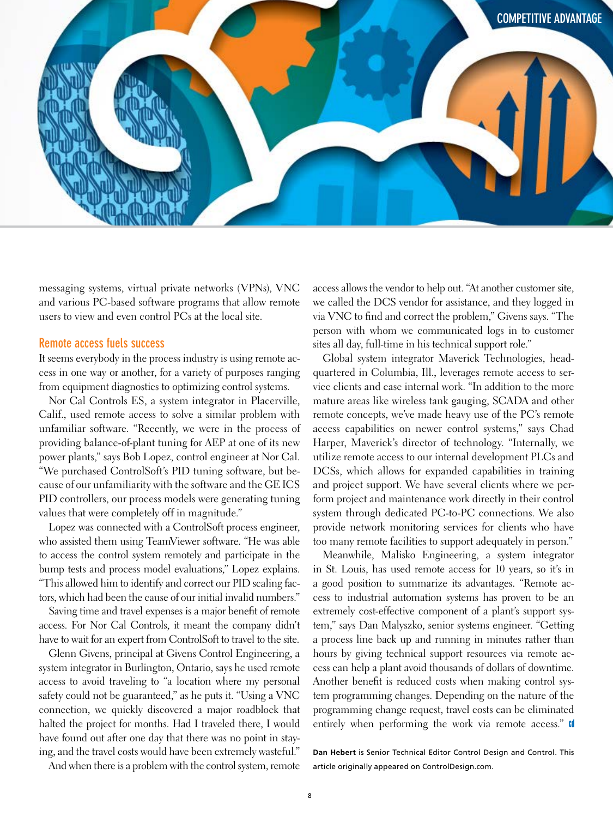

messaging systems, virtual private networks (VPNs), VNC and various PC-based software programs that allow remote users to view and even control PCs at the local site.

#### Remote access fuels success

It seems everybody in the process industry is using remote access in one way or another, for a variety of purposes ranging from equipment diagnostics to optimizing control systems.

Nor Cal Controls ES, a system integrator in Placerville, Calif., used remote access to solve a similar problem with unfamiliar software. "Recently, we were in the process of providing balance-of-plant tuning for AEP at one of its new power plants," says Bob Lopez, control engineer at Nor Cal. "We purchased ControlSoft's PID tuning software, but because of our unfamiliarity with the software and the GE ICS PID controllers, our process models were generating tuning values that were completely off in magnitude."

Lopez was connected with a ControlSoft process engineer, who assisted them using TeamViewer software. "He was able to access the control system remotely and participate in the bump tests and process model evaluations," Lopez explains. "This allowed him to identify and correct our PID scaling factors, which had been the cause of our initial invalid numbers."

Saving time and travel expenses is a major beneft of remote access. For Nor Cal Controls, it meant the company didn't have to wait for an expert from ControlSoft to travel to the site.

Glenn Givens, principal at Givens Control Engineering, a system integrator in Burlington, Ontario, says he used remote access to avoid traveling to "a location where my personal safety could not be guaranteed," as he puts it. "Using a VNC connection, we quickly discovered a major roadblock that halted the project for months. Had I traveled there, I would have found out after one day that there was no point in staying, and the travel costs would have been extremely wasteful." access allows the vendor to help out. "At another customer site, we called the DCS vendor for assistance, and they logged in via VNC to fnd and correct the problem," Givens says. "The person with whom we communicated logs in to customer sites all day, full-time in his technical support role."

Global system integrator Maverick Technologies, headquartered in Columbia, Ill., leverages remote access to service clients and ease internal work. "In addition to the more mature areas like wireless tank gauging, SCADA and other remote concepts, we've made heavy use of the PC's remote access capabilities on newer control systems," says Chad Harper, Maverick's director of technology. "Internally, we utilize remote access to our internal development PLCs and DCSs, which allows for expanded capabilities in training and project support. We have several clients where we perform project and maintenance work directly in their control system through dedicated PC-to-PC connections. We also provide network monitoring services for clients who have too many remote facilities to support adequately in person."

Meanwhile, Malisko Engineering, a system integrator in St. Louis, has used remote access for 10 years, so it's in a good position to summarize its advantages. "Remote access to industrial automation systems has proven to be an extremely cost-effective component of a plant's support system," says Dan Malyszko, senior systems engineer. "Getting a process line back up and running in minutes rather than hours by giving technical support resources via remote access can help a plant avoid thousands of dollars of downtime. Another beneft is reduced costs when making control system programming changes. Depending on the nature of the programming change request, travel costs can be eliminated entirely when performing the work via remote access." If

**Dan Hebert** is Senior Technical Editor Control Design and Control. This article originally appeared on ControlDesign.com.

And when there is a problem with the control system, remote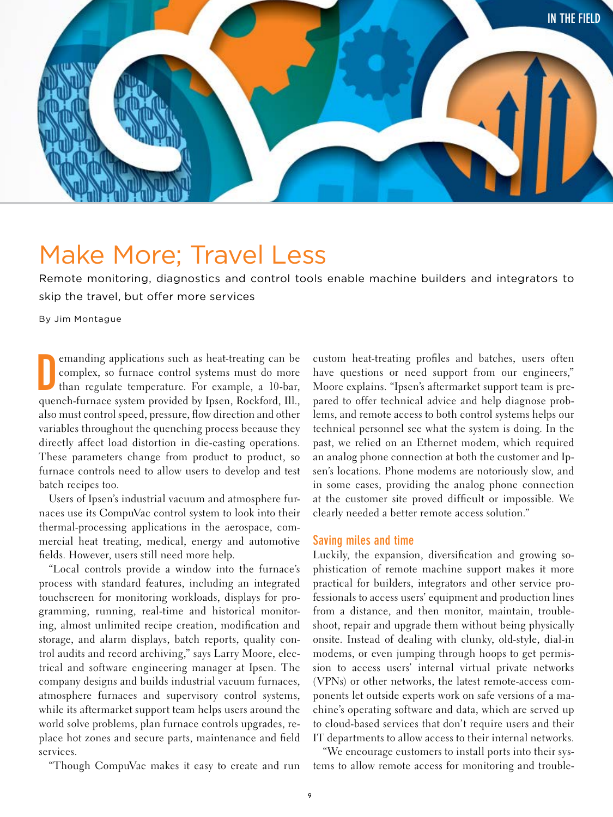<span id="page-8-0"></span>

## Make More; Travel Less

Remote monitoring, diagnostics and control tools enable machine builders and integrators to skip the travel, but offer more services

By Jim Montague

**D** emanding applications such as heat-treating can be complex, so furnace control systems must do more than regulate temperature. For example, a 10-bar, quench-furnace system provided by Ipsen, Rockford, Ill., emanding applications such as heat-treating can be complex, so furnace control systems must do more than regulate temperature. For example, a 10-bar, also must control speed, pressure, fow direction and other variables throughout the quenching process because they directly affect load distortion in die-casting operations. These parameters change from product to product, so furnace controls need to allow users to develop and test batch recipes too.

Users of Ipsen's industrial vacuum and atmosphere furnaces use its CompuVac control system to look into their thermal-processing applications in the aerospace, commercial heat treating, medical, energy and automotive felds. However, users still need more help.

"Local controls provide a window into the furnace's process with standard features, including an integrated touchscreen for monitoring workloads, displays for programming, running, real-time and historical monitoring, almost unlimited recipe creation, modifcation and storage, and alarm displays, batch reports, quality control audits and record archiving," says Larry Moore, electrical and software engineering manager at Ipsen. The company designs and builds industrial vacuum furnaces, atmosphere furnaces and supervisory control systems, while its aftermarket support team helps users around the world solve problems, plan furnace controls upgrades, replace hot zones and secure parts, maintenance and feld services.

"Though CompuVac makes it easy to create and run

custom heat-treating profles and batches, users often have questions or need support from our engineers," Moore explains. "Ipsen's aftermarket support team is prepared to offer technical advice and help diagnose problems, and remote access to both control systems helps our technical personnel see what the system is doing. In the past, we relied on an Ethernet modem, which required an analog phone connection at both the customer and Ipsen's locations. Phone modems are notoriously slow, and in some cases, providing the analog phone connection at the customer site proved diffcult or impossible. We clearly needed a better remote access solution."

#### Saving miles and time

Luckily, the expansion, diversifcation and growing sophistication of remote machine support makes it more practical for builders, integrators and other service professionals to access users' equipment and production lines from a distance, and then monitor, maintain, troubleshoot, repair and upgrade them without being physically onsite. Instead of dealing with clunky, old-style, dial-in modems, or even jumping through hoops to get permission to access users' internal virtual private networks (VPNs) or other networks, the latest remote-access components let outside experts work on safe versions of a machine's operating software and data, which are served up to cloud-based services that don't require users and their IT departments to allow access to their internal networks.

"We encourage customers to install ports into their systems to allow remote access for monitoring and trouble-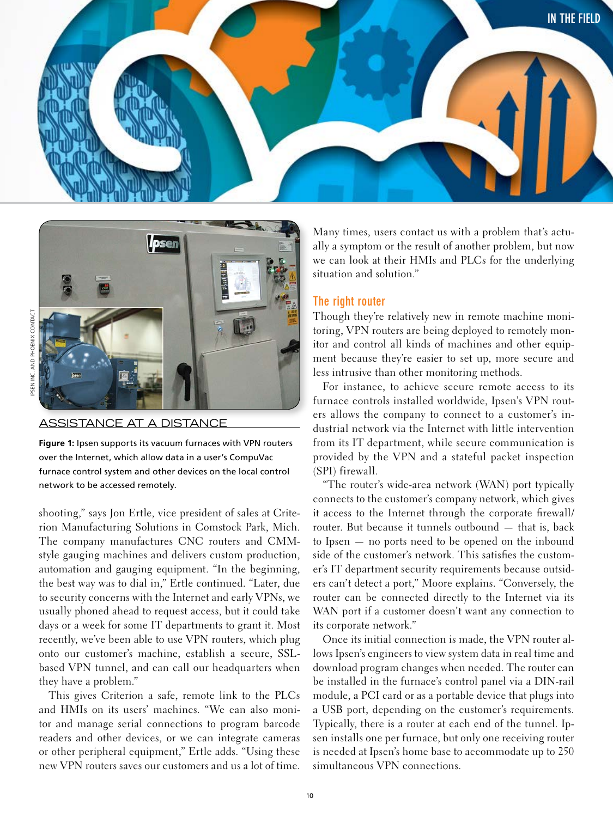



#### **ASSISTANCE AT A DISTANCE**

Figure 1: Ipsen supports its vacuum furnaces with VPN routers over the Internet, which allow data in a user's CompuVac furnace control system and other devices on the local control network to be accessed remotely.

shooting," says Jon Ertle, vice president of sales at Criterion Manufacturing Solutions in Comstock Park, Mich. The company manufactures CNC routers and CMMstyle gauging machines and delivers custom production, automation and gauging equipment. "In the beginning, the best way was to dial in," Ertle continued. "Later, due to security concerns with the Internet and early VPNs, we usually phoned ahead to request access, but it could take days or a week for some IT departments to grant it. Most recently, we've been able to use VPN routers, which plug onto our customer's machine, establish a secure, SSLbased VPN tunnel, and can call our headquarters when they have a problem."

This gives Criterion a safe, remote link to the PLCs and HMIs on its users' machines. "We can also monitor and manage serial connections to program barcode readers and other devices, or we can integrate cameras or other peripheral equipment," Ertle adds. "Using these new VPN routers saves our customers and us a lot of time.

Many times, users contact us with a problem that's actually a symptom or the result of another problem, but now we can look at their HMIs and PLCs for the underlying situation and solution."

#### The right router

Though they're relatively new in remote machine monitoring, VPN routers are being deployed to remotely monitor and control all kinds of machines and other equipment because they're easier to set up, more secure and less intrusive than other monitoring methods.

For instance, to achieve secure remote access to its furnace controls installed worldwide, Ipsen's VPN routers allows the company to connect to a customer's industrial network via the Internet with little intervention from its IT department, while secure communication is provided by the VPN and a stateful packet inspection (SPI) firewall.

"The router's wide-area network (WAN) port typically connects to the customer's company network, which gives it access to the Internet through the corporate firewall/ router. But because it tunnels outbound - that is, back to Ipsen  $-$  no ports need to be opened on the inbound side of the customer's network. This satisfies the customer's IT department security requirements because outsiders can't detect a port," Moore explains. "Conversely, the router can be connected directly to the Internet via its WAN port if a customer doesn't want any connection to its corporate network."

Once its initial connection is made, the VPN router allows Ipsen's engineers to view system data in real time and download program changes when needed. The router can be installed in the furnace's control panel via a DIN-rail module, a PCI card or as a portable device that plugs into a USB port, depending on the customer's requirements. Typically, there is a router at each end of the tunnel. Ipsen installs one per furnace, but only one receiving router is needed at Ipsen's home base to accommodate up to 250 simultaneous VPN connections.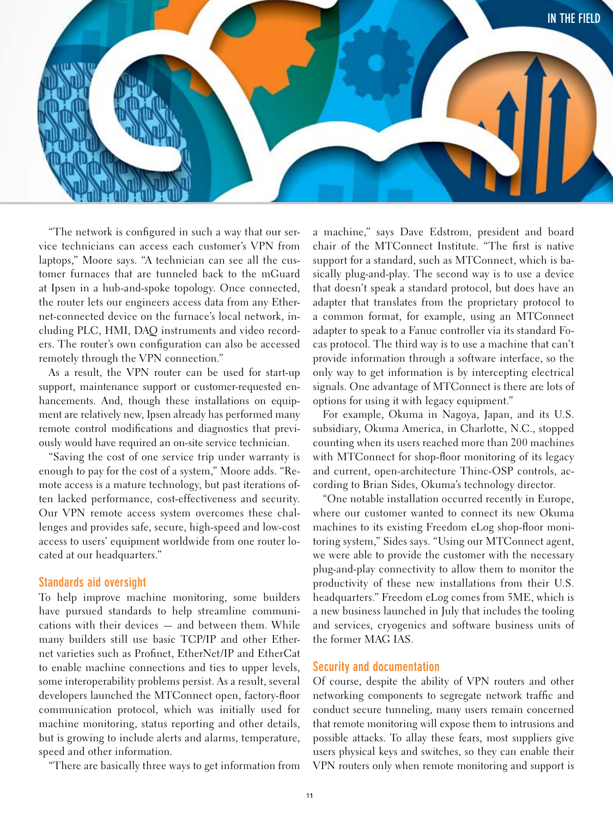

"The network is confgured in such a way that our service technicians can access each customer's VPN from laptops," Moore says. "A technician can see all the customer furnaces that are tunneled back to the mGuard at Ipsen in a hub-and-spoke topology. Once connected, the router lets our engineers access data from any Ethernet-connected device on the furnace's local network, including PLC, HMI, DAQ instruments and video recorders. The router's own confguration can also be accessed remotely through the VPN connection."

As a result, the VPN router can be used for start-up support, maintenance support or customer-requested enhancements. And, though these installations on equipment are relatively new, Ipsen already has performed many remote control modifcations and diagnostics that previously would have required an on-site service technician.

"Saving the cost of one service trip under warranty is enough to pay for the cost of a system," Moore adds. "Remote access is a mature technology, but past iterations often lacked performance, cost-effectiveness and security. Our VPN remote access system overcomes these challenges and provides safe, secure, high-speed and low-cost access to users' equipment worldwide from one router located at our headquarters."

#### Standards aid oversight

To help improve machine monitoring, some builders have pursued standards to help streamline communications with their devices — and between them. While many builders still use basic TCP/IP and other Ethernet varieties such as Profnet, EtherNet/IP and EtherCat to enable machine connections and ties to upper levels, some interoperability problems persist. As a result, several developers launched the MTConnect open, factory-foor communication protocol, which was initially used for machine monitoring, status reporting and other details, but is growing to include alerts and alarms, temperature, speed and other information.

"There are basically three ways to get information from

a machine," says Dave Edstrom, president and board chair of the MTConnect Institute. "The frst is native support for a standard, such as MTConnect, which is basically plug-and-play. The second way is to use a device that doesn't speak a standard protocol, but does have an adapter that translates from the proprietary protocol to a common format, for example, using an MTConnect adapter to speak to a Fanuc controller via its standard Focas protocol. The third way is to use a machine that can't provide information through a software interface, so the only way to get information is by intercepting electrical signals. One advantage of MTConnect is there are lots of options for using it with legacy equipment."

For example, Okuma in Nagoya, Japan, and its U.S. subsidiary, Okuma America, in Charlotte, N.C., stopped counting when its users reached more than 200 machines with MTConnect for shop-foor monitoring of its legacy and current, open-architecture Thinc-OSP controls, according to Brian Sides, Okuma's technology director.

"One notable installation occurred recently in Europe, where our customer wanted to connect its new Okuma machines to its existing Freedom eLog shop-floor monitoring system," Sides says. "Using our MTConnect agent, we were able to provide the customer with the necessary plug-and-play connectivity to allow them to monitor the productivity of these new installations from their U.S. headquarters." Freedom eLog comes from 5ME, which is a new business launched in July that includes the tooling and services, cryogenics and software business units of the former MAG IAS.

#### Security and documentation

Of course, despite the ability of VPN routers and other networking components to segregate network traffc and conduct secure tunneling, many users remain concerned that remote monitoring will expose them to intrusions and possible attacks. To allay these fears, most suppliers give users physical keys and switches, so they can enable their VPN routers only when remote monitoring and support is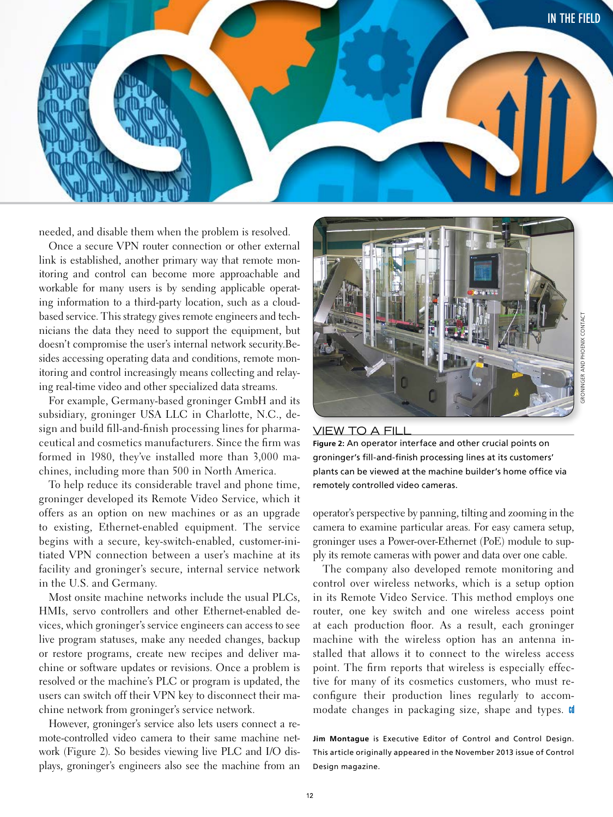

needed, and disable them when the problem is resolved.

Once a secure VPN router connection or other external link is established, another primary way that remote monitoring and control can become more approachable and workable for many users is by sending applicable operating information to a third-party location, such as a cloudbased service. This strategy gives remote engineers and technicians the data they need to support the equipment, but doesn't compromise the user's internal network security.Besides accessing operating data and conditions, remote monitoring and control increasingly means collecting and relaying real-time video and other specialized data streams.

For example, Germany-based groninger GmbH and its subsidiary, groninger USA LLC in Charlotte, N.C., design and build fill-and-finish processing lines for pharmaceutical and cosmetics manufacturers. Since the firm was formed in 1980, they've installed more than 3,000 machines, including more than 500 in North America.

To help reduce its considerable travel and phone time, groninger developed its Remote Video Service, which it offers as an option on new machines or as an upgrade to existing, Ethernet-enabled equipment. The service begins with a secure, key-switch-enabled, customer-initiated VPN connection between a user's machine at its facility and groninger's secure, internal service network in the U.S. and Germany.

Most onsite machine networks include the usual PLCs, HMIs, servo controllers and other Ethernet-enabled devices, which groninger's service engineers can access to see live program statuses, make any needed changes, backup or restore programs, create new recipes and deliver machine or software updates or revisions. Once a problem is resolved or the machine's PLC or program is updated, the users can switch off their VPN key to disconnect their machine network from groninger's service network.

However, groninger's service also lets users connect a remote-controlled video camera to their same machine network (Figure 2). So besides viewing live PLC and I/O displays, groninger's engineers also see the machine from an



#### VIEW TO A FILL

Figure 2: An operator interface and other crucial points on groninger's fill-and-finish processing lines at its customers' plants can be viewed at the machine builder's home office via remotely controlled video cameras.

operator's perspective by panning, tilting and zooming in the camera to examine particular areas. For easy camera setup, groninger uses a Power-over-Ethernet (PoE) module to supply its remote cameras with power and data over one cable.

The company also developed remote monitoring and control over wireless networks, which is a setup option in its Remote Video Service. This method employs one router, one key switch and one wireless access point at each production floor. As a result, each groninger machine with the wireless option has an antenna installed that allows it to connect to the wireless access point. The firm reports that wireless is especially effective for many of its cosmetics customers, who must reconfigure their production lines regularly to accommodate changes in packaging size, shape and types. If

Jim Montague is Executive Editor of Control and Control Design. This article originally appeared in the November 2013 issue of Control Design magazine.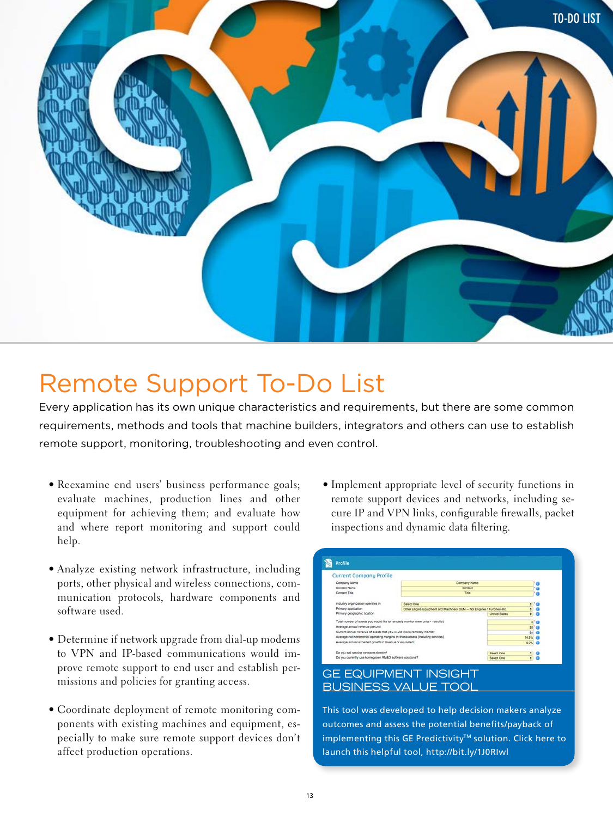

## **Remote Support To-Do List**

Every application has its own unique characteristics and requirements, but there are some common requirements, methods and tools that machine builders, integrators and others can use to establish remote support, monitoring, troubleshooting and even control.

- Reexamine end users' business performance goals; evaluate machines, production lines and other equipment for achieving them; and evaluate how and where report monitoring and support could help.
- Analyze existing network infrastructure, including ports, other physical and wireless connections, communication protocols, hardware components and software used.
- Determine if network upgrade from dial-up modems to VPN and IP-based communications would improve remote support to end user and establish permissions and policies for granting access.
- Coordinate deployment of remote monitoring components with existing machines and equipment, especially to make sure remote support devices don't affect production operations.

• Implement appropriate level of security functions in remote support devices and networks, including secure IP and VPN links, configurable firewalls, packet inspections and dynamic data filtering.

| Company Name                                                                      | Company Name                                                                 |                           |                |
|-----------------------------------------------------------------------------------|------------------------------------------------------------------------------|---------------------------|----------------|
| Contact Name                                                                      | Contact                                                                      |                           |                |
| Contact Title                                                                     | Title                                                                        |                           |                |
| Industry organization operates in                                                 | <b>Select One</b>                                                            |                           |                |
| Primary application                                                               | ÷<br>Other Engine Equipment and Machinery OEM -- Not Engines / Turbines etc. |                           |                |
| Primary geographic location                                                       |                                                                              | ė<br><b>United States</b> | $\overline{6}$ |
| Total number of assets you would like to remotely monitor (new units + retrofits) |                                                                              |                           |                |
| Average annual revenue per unit                                                   |                                                                              |                           | \$0.163        |
| Current annual revenue of assets that you would like to remotely monitor          |                                                                              | \$37                      |                |
| Average net incremental operating margins on those assets (including services)    | 14.5%                                                                        |                           |                |
| Average annual expected growth in revenue or equivalent.                          | 5.0%                                                                         |                           |                |
| Do you sell service contracts directly?                                           |                                                                              | Select One                |                |
| Do you currently use homegrown RW&D software solutions?                           | Select One                                                                   | 58                        |                |

This tool was developed to help decision makers analyze outcomes and assess the potential benefits/payback of implementing this GE Predictivity<sup>™</sup> solution. Click here to launch this helpful tool, http://bit.ly/1J0Rlwl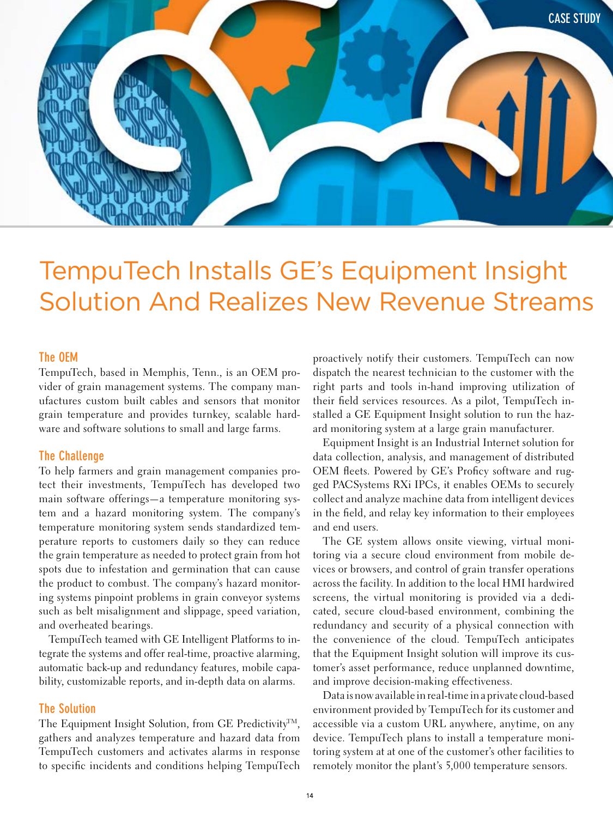<span id="page-13-0"></span>

## TempuTech Installs GE's Equipment Insight Solution And Realizes New Revenue Streams

#### The OEM

TempuTech, based in Memphis, Tenn., is an OEM provider of grain management systems. The company manufactures custom built cables and sensors that monitor grain temperature and provides turnkey, scalable hardware and software solutions to small and large farms.

#### The Challenge

To help farmers and grain management companies protect their investments, TempuTech has developed two main software offerings—a temperature monitoring system and a hazard monitoring system. The company's temperature monitoring system sends standardized temperature reports to customers daily so they can reduce the grain temperature as needed to protect grain from hot spots due to infestation and germination that can cause the product to combust. The company's hazard monitoring systems pinpoint problems in grain conveyor systems such as belt misalignment and slippage, speed variation, and overheated bearings.

TempuTech teamed with GE Intelligent Platforms to integrate the systems and offer real-time, proactive alarming, automatic back-up and redundancy features, mobile capability, customizable reports, and in-depth data on alarms.

#### The Solution

The Equipment Insight Solution, from GE Predictivity™, gathers and analyzes temperature and hazard data from TempuTech customers and activates alarms in response to specifc incidents and conditions helping TempuTech proactively notify their customers. TempuTech can now dispatch the nearest technician to the customer with the right parts and tools in-hand improving utilization of their feld services resources. As a pilot, TempuTech installed a GE Equipment Insight solution to run the hazard monitoring system at a large grain manufacturer.

Equipment Insight is an Industrial Internet solution for data collection, analysis, and management of distributed OEM fleets. Powered by GE's Proficy software and rugged PACSystems RXi IPCs, it enables OEMs to securely collect and analyze machine data from intelligent devices in the feld, and relay key information to their employees and end users.

The GE system allows onsite viewing, virtual monitoring via a secure cloud environment from mobile devices or browsers, and control of grain transfer operations across the facility. In addition to the local HMI hardwired screens, the virtual monitoring is provided via a dedicated, secure cloud-based environment, combining the redundancy and security of a physical connection with the convenience of the cloud. TempuTech anticipates that the Equipment Insight solution will improve its customer's asset performance, reduce unplanned downtime, and improve decision-making effectiveness.

Data is now available in real-time in a private cloud-based environment provided by TempuTech for its customer and accessible via a custom URL anywhere, anytime, on any device. TempuTech plans to install a temperature monitoring system at at one of the customer's other facilities to remotely monitor the plant's 5,000 temperature sensors.